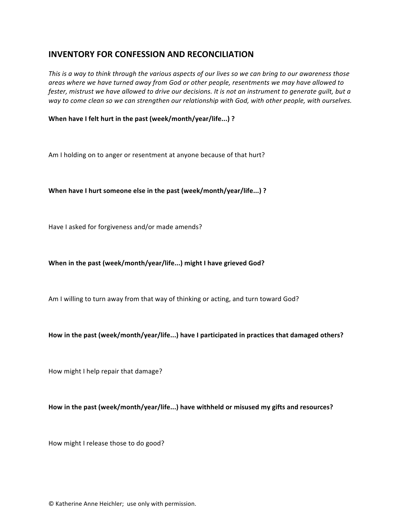# **INVENTORY FOR CONFESSION AND RECONCILIATION**

*This* is a way to think through the various aspects of our lives so we can bring to our awareness those *areas* where we have turned away from God or other people, resentments we may have allowed to *fester, mistrust* we have allowed to drive our decisions. It is not an instrument to generate guilt, but a way to come clean so we can strengthen our relationship with God, with other people, with ourselves.

## When have I felt hurt in the past (week/month/year/life...) ?

Am I holding on to anger or resentment at anyone because of that hurt?

### When have I hurt someone else in the past (week/month/year/life...) ?

Have I asked for forgiveness and/or made amends?

#### When in the past (week/month/year/life...) might I have grieved God?

Am I willing to turn away from that way of thinking or acting, and turn toward God?

#### How in the past (week/month/year/life...) have I participated in practices that damaged others?

How might I help repair that damage?

#### How in the past (week/month/year/life...) have withheld or misused my gifts and resources?

How might I release those to do good?

© Katherine Anne Heichler; use only with permission.